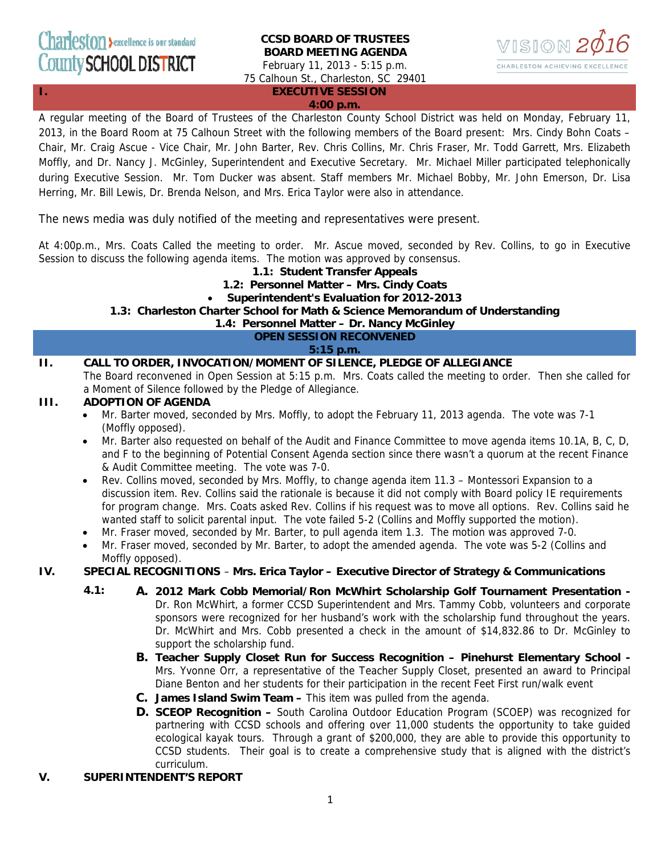### **CCSD BOARD OF TRUSTEES BOARD MEETING AGENDA**  February 11, 2013 - 5:15 p.m.

75 Calhoun St., Charleston, SC 29401



**I. EXECUTIVE SESSION** 

#### **4:00 p.m.**

A regular meeting of the Board of Trustees of the Charleston County School District was held on Monday, February 11, 2013, in the Board Room at 75 Calhoun Street with the following members of the Board present: Mrs. Cindy Bohn Coats – Chair, Mr. Craig Ascue - Vice Chair, Mr. John Barter, Rev. Chris Collins, Mr. Chris Fraser, Mr. Todd Garrett, Mrs. Elizabeth Moffly, and Dr. Nancy J. McGinley, Superintendent and Executive Secretary. Mr. Michael Miller participated telephonically during Executive Session. Mr. Tom Ducker was absent. Staff members Mr. Michael Bobby, Mr. John Emerson, Dr. Lisa Herring, Mr. Bill Lewis, Dr. Brenda Nelson, and Mrs. Erica Taylor were also in attendance.

The news media was duly notified of the meeting and representatives were present.

At 4:00p.m., Mrs. Coats Called the meeting to order. Mr. Ascue moved, seconded by Rev. Collins, to go in Executive Session to discuss the following agenda items. The motion was approved by consensus.

### **1.1: Student Transfer Appeals**

- **1.2: Personnel Matter Mrs. Cindy Coats**
- **Superintendent's Evaluation for 2012-2013**

### **1.3: Charleston Charter School for Math & Science Memorandum of Understanding**

**1.4: Personnel Matter – Dr. Nancy McGinley**

**OPEN SESSION RECONVENED** 

**5:15 p.m.** 

### **II. CALL TO ORDER, INVOCATION/MOMENT OF SILENCE, PLEDGE OF ALLEGIANCE**

The Board reconvened in Open Session at 5:15 p.m. Mrs. Coats called the meeting to order. Then she called for a Moment of Silence followed by the Pledge of Allegiance.

### **III. ADOPTION OF AGENDA**

- Mr. Barter moved, seconded by Mrs. Moffly, to adopt the February 11, 2013 agenda. The vote was 7-1 (Moffly opposed).
- Mr. Barter also requested on behalf of the Audit and Finance Committee to move agenda items 10.1A, B, C, D, and F to the beginning of Potential Consent Agenda section since there wasn't a quorum at the recent Finance & Audit Committee meeting. The vote was 7-0.
- Rev. Collins moved, seconded by Mrs. Moffly, to change agenda item 11.3 Montessori Expansion to a discussion item. Rev. Collins said the rationale is because it did not comply with Board policy IE requirements for program change. Mrs. Coats asked Rev. Collins if his request was to move all options. Rev. Collins said he wanted staff to solicit parental input. The vote failed 5-2 (Collins and Moffly supported the motion).
- Mr. Fraser moved, seconded by Mr. Barter, to pull agenda item 1.3. The motion was approved 7-0.
- Mr. Fraser moved, seconded by Mr. Barter, to adopt the amended agenda. The vote was 5-2 (Collins and Moffly opposed).

### **IV. SPECIAL RECOGNITIONS** – **Mrs. Erica Taylor – Executive Director of Strategy & Communications**

- **4.1: A. 2012 Mark Cobb Memorial/Ron McWhirt Scholarship Golf Tournament Presentation**  Dr. Ron McWhirt, a former CCSD Superintendent and Mrs. Tammy Cobb, volunteers and corporate sponsors were recognized for her husband's work with the scholarship fund throughout the years. Dr. McWhirt and Mrs. Cobb presented a check in the amount of \$14,832.86 to Dr. McGinley to support the scholarship fund.
	- **B. Teacher Supply Closet Run for Success Recognition Pinehurst Elementary School**  Mrs. Yvonne Orr, a representative of the Teacher Supply Closet, presented an award to Principal Diane Benton and her students for their participation in the recent Feet First run/walk event
	- **C. James Island Swim Team** This item was pulled from the agenda.
	- **D. SCEOP Recognition** South Carolina Outdoor Education Program (SCOEP) was recognized for partnering with CCSD schools and offering over 11,000 students the opportunity to take guided ecological kayak tours. Through a grant of \$200,000, they are able to provide this opportunity to CCSD students. Their goal is to create a comprehensive study that is aligned with the district's curriculum.

### **V. SUPERINTENDENT'S REPORT**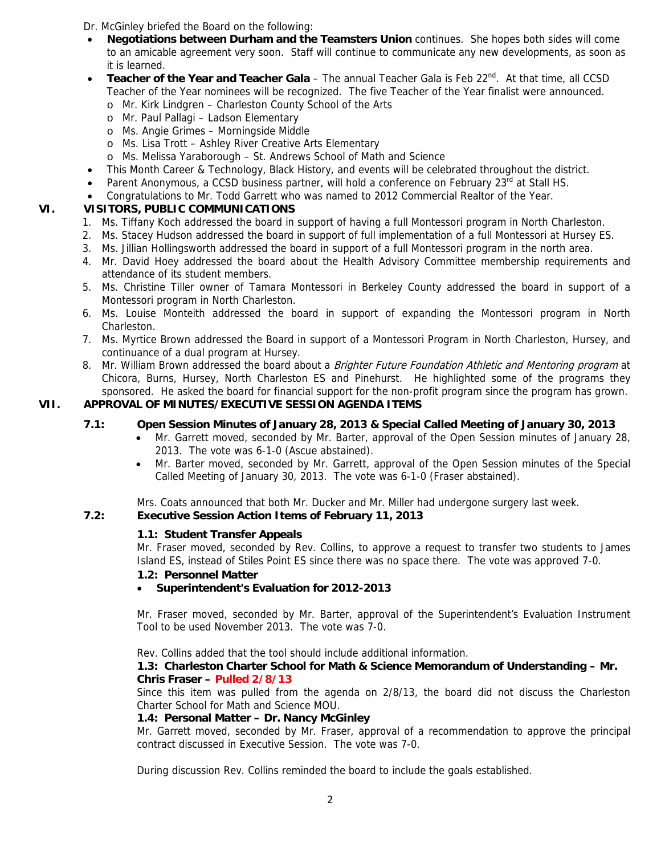Dr. McGinley briefed the Board on the following:

- **Negotiations between Durham and the Teamsters Union** continues. She hopes both sides will come to an amicable agreement very soon. Staff will continue to communicate any new developments, as soon as it is learned.
- Teacher of the Year and Teacher Gala The annual Teacher Gala is Feb 22<sup>nd</sup>. At that time, all CCSD Teacher of the Year nominees will be recognized. The five Teacher of the Year finalist were announced.
	- o Mr. Kirk Lindgren Charleston County School of the Arts
	- o Mr. Paul Pallagi Ladson Elementary
	- o Ms. Angie Grimes Morningside Middle
	- o Ms. Lisa Trott Ashley River Creative Arts Elementary
	- o Ms. Melissa Yaraborough St. Andrews School of Math and Science
- This Month Career & Technology, Black History, and events will be celebrated throughout the district.
- Parent Anonymous, a CCSD business partner, will hold a conference on February 23<sup>rd</sup> at Stall HS.
- Congratulations to Mr. Todd Garrett who was named to 2012 Commercial Realtor of the Year.

# **VI. VISITORS, PUBLIC COMMUNICATIONS**

- 1. Ms. Tiffany Koch addressed the board in support of having a full Montessori program in North Charleston.
- 2. Ms. Stacey Hudson addressed the board in support of full implementation of a full Montessori at Hursey ES.
- 3. Ms. Jillian Hollingsworth addressed the board in support of a full Montessori program in the north area.
- 4. Mr. David Hoey addressed the board about the Health Advisory Committee membership requirements and attendance of its student members.
- 5. Ms. Christine Tiller owner of Tamara Montessori in Berkeley County addressed the board in support of a Montessori program in North Charleston.
- 6. Ms. Louise Monteith addressed the board in support of expanding the Montessori program in North Charleston.
- 7. Ms. Myrtice Brown addressed the Board in support of a Montessori Program in North Charleston, Hursey, and continuance of a dual program at Hursey.
- 8. Mr. William Brown addressed the board about a Brighter Future Foundation Athletic and Mentoring program at Chicora, Burns, Hursey, North Charleston ES and Pinehurst. He highlighted some of the programs they sponsored. He asked the board for financial support for the non-profit program since the program has grown.

# **VII. APPROVAL OF MINUTES/EXECUTIVE SESSION AGENDA ITEMS**

# **7.1: Open Session Minutes of January 28, 2013 & Special Called Meeting of January 30, 2013**

- Mr. Garrett moved, seconded by Mr. Barter, approval of the Open Session minutes of January 28, 2013. The vote was 6-1-0 (Ascue abstained).
- Mr. Barter moved, seconded by Mr. Garrett, approval of the Open Session minutes of the Special Called Meeting of January 30, 2013. The vote was 6-1-0 (Fraser abstained).

Mrs. Coats announced that both Mr. Ducker and Mr. Miller had undergone surgery last week.

## **7.2: Executive Session Action Items of February 11, 2013**

## **1.1: Student Transfer Appeals**

Mr. Fraser moved, seconded by Rev. Collins, to approve a request to transfer two students to James Island ES, instead of Stiles Point ES since there was no space there. The vote was approved 7-0.

## **1.2: Personnel Matter**

## • **Superintendent's Evaluation for 2012-2013**

Mr. Fraser moved, seconded by Mr. Barter, approval of the Superintendent's Evaluation Instrument Tool to be used November 2013. The vote was 7-0.

Rev. Collins added that the tool should include additional information.

### **1.3: Charleston Charter School for Math & Science Memorandum of Understanding – Mr. Chris Fraser – Pulled 2/8/13**

Since this item was pulled from the agenda on 2/8/13, the board did not discuss the Charleston Charter School for Math and Science MOU.

## **1.4: Personal Matter – Dr. Nancy McGinley**

Mr. Garrett moved, seconded by Mr. Fraser, approval of a recommendation to approve the principal contract discussed in Executive Session. The vote was 7-0.

During discussion Rev. Collins reminded the board to include the goals established.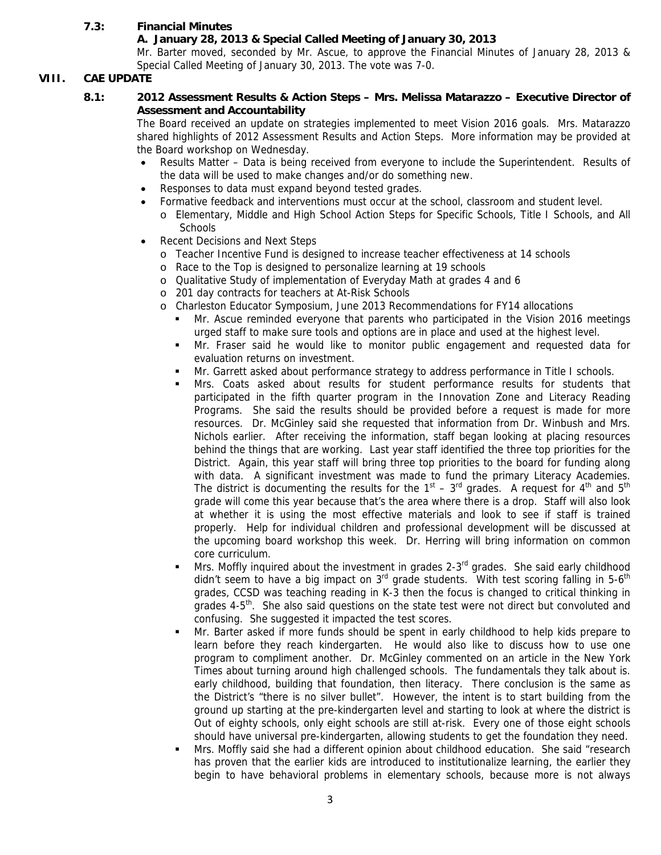## **7.3: Financial Minutes**

### **A. January 28, 2013 & Special Called Meeting of January 30, 2013**

Mr. Barter moved, seconded by Mr. Ascue, to approve the Financial Minutes of January 28, 2013 & Special Called Meeting of January 30, 2013. The vote was 7-0.

## **VIII. CAE UPDATE**

#### **8.1: 2012 Assessment Results & Action Steps – Mrs. Melissa Matarazzo – Executive Director of Assessment and Accountability**

The Board received an update on strategies implemented to meet Vision 2016 goals. Mrs. Matarazzo shared highlights of 2012 Assessment Results and Action Steps. More information may be provided at the Board workshop on Wednesday.

- Results Matter Data is being received from everyone to include the Superintendent. Results of the data will be used to make changes and/or do something new.
- Responses to data must expand beyond tested grades.
- Formative feedback and interventions must occur at the school, classroom and student level.
	- o Elementary, Middle and High School Action Steps for Specific Schools, Title I Schools, and All **Schools**
- Recent Decisions and Next Steps
	- o Teacher Incentive Fund is designed to increase teacher effectiveness at 14 schools
	- o Race to the Top is designed to personalize learning at 19 schools
	- o Qualitative Study of implementation of Everyday Math at grades 4 and 6
	- o 201 day contracts for teachers at At-Risk Schools
	- o Charleston Educator Symposium, June 2013 Recommendations for FY14 allocations
		- Mr. Ascue reminded everyone that parents who participated in the Vision 2016 meetings urged staff to make sure tools and options are in place and used at the highest level.
		- Mr. Fraser said he would like to monitor public engagement and requested data for evaluation returns on investment.
		- Mr. Garrett asked about performance strategy to address performance in Title I schools.
		- Mrs. Coats asked about results for student performance results for students that participated in the fifth quarter program in the Innovation Zone and Literacy Reading Programs. She said the results should be provided before a request is made for more resources. Dr. McGinley said she requested that information from Dr. Winbush and Mrs. Nichols earlier. After receiving the information, staff began looking at placing resources behind the things that are working. Last year staff identified the three top priorities for the District. Again, this year staff will bring three top priorities to the board for funding along with data. A significant investment was made to fund the primary Literacy Academies. The district is documenting the results for the  $1<sup>st</sup> - 3<sup>rd</sup>$  grades. A request for  $4<sup>th</sup>$  and  $5<sup>th</sup>$ grade will come this year because that's the area where there is a drop. Staff will also look at whether it is using the most effective materials and look to see if staff is trained properly. Help for individual children and professional development will be discussed at the upcoming board workshop this week. Dr. Herring will bring information on common core curriculum.
		- Mrs. Moffly inquired about the investment in grades 2-3<sup>rd</sup> grades. She said early childhood didn't seem to have a big impact on  $3<sup>rd</sup>$  grade students. With test scoring falling in 5-6<sup>th</sup> grades, CCSD was teaching reading in K-3 then the focus is changed to critical thinking in grades 4-5<sup>th</sup>. She also said questions on the state test were not direct but convoluted and confusing. She suggested it impacted the test scores.
		- Mr. Barter asked if more funds should be spent in early childhood to help kids prepare to learn before they reach kindergarten. He would also like to discuss how to use one program to compliment another. Dr. McGinley commented on an article in the New York Times about turning around high challenged schools. The fundamentals they talk about is. early childhood, building that foundation, then literacy. There conclusion is the same as the District's "there is no silver bullet". However, the intent is to start building from the ground up starting at the pre-kindergarten level and starting to look at where the district is Out of eighty schools, only eight schools are still at-risk. Every one of those eight schools should have universal pre-kindergarten, allowing students to get the foundation they need.
		- Mrs. Moffly said she had a different opinion about childhood education. She said "research has proven that the earlier kids are introduced to institutionalize learning, the earlier they begin to have behavioral problems in elementary schools, because more is not always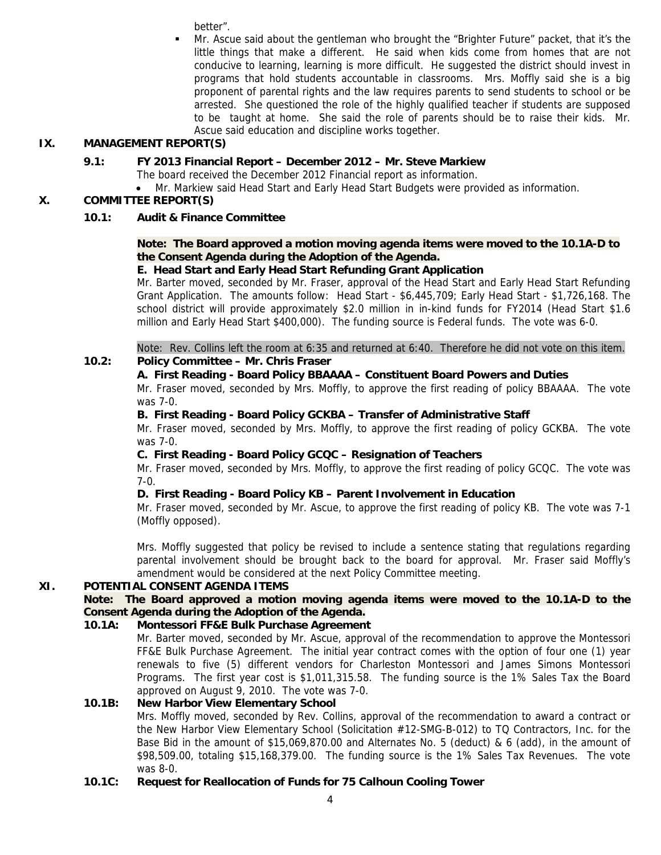better".

 Mr. Ascue said about the gentleman who brought the "Brighter Future" packet, that it's the little things that make a different. He said when kids come from homes that are not conducive to learning, learning is more difficult. He suggested the district should invest in programs that hold students accountable in classrooms. Mrs. Moffly said she is a big proponent of parental rights and the law requires parents to send students to school or be arrested. She questioned the role of the highly qualified teacher if students are supposed to be taught at home. She said the role of parents should be to raise their kids. Mr. Ascue said education and discipline works together.

## **IX. MANAGEMENT REPORT(S)**

## **9.1: FY 2013 Financial Report – December 2012 – Mr. Steve Markiew**

- The board received the December 2012 Financial report as information.
- Mr. Markiew said Head Start and Early Head Start Budgets were provided as information.

### **X. COMMITTEE REPORT(S)**

### **10.1: Audit & Finance Committee**

### **Note: The Board approved a motion moving agenda items were moved to the 10.1A-D to the Consent Agenda during the Adoption of the Agenda.**

### **E. Head Start and Early Head Start Refunding Grant Application**

Mr. Barter moved, seconded by Mr. Fraser, approval of the Head Start and Early Head Start Refunding Grant Application. The amounts follow: Head Start - \$6,445,709; Early Head Start - \$1,726,168. The school district will provide approximately \$2.0 million in in-kind funds for FY2014 (Head Start \$1.6 million and Early Head Start \$400,000). The funding source is Federal funds. The vote was 6-0.

Note: Rev. Collins left the room at 6:35 and returned at 6:40. Therefore he did not vote on this item.

## **10.2: Policy Committee – Mr. Chris Fraser**

### **A. First Reading - Board Policy BBAAAA – Constituent Board Powers and Duties**

Mr. Fraser moved, seconded by Mrs. Moffly, to approve the first reading of policy BBAAAA. The vote was 7-0.

### **B. First Reading - Board Policy GCKBA – Transfer of Administrative Staff**

Mr. Fraser moved, seconded by Mrs. Moffly, to approve the first reading of policy GCKBA. The vote was 7-0.

### **C. First Reading - Board Policy GCQC – Resignation of Teachers**

Mr. Fraser moved, seconded by Mrs. Moffly, to approve the first reading of policy GCQC. The vote was 7-0.

### **D. First Reading - Board Policy KB – Parent Involvement in Education**

Mr. Fraser moved, seconded by Mr. Ascue, to approve the first reading of policy KB. The vote was 7-1 (Moffly opposed).

Mrs. Moffly suggested that policy be revised to include a sentence stating that regulations regarding parental involvement should be brought back to the board for approval. Mr. Fraser said Moffly's amendment would be considered at the next Policy Committee meeting.

### **XI. POTENTIAL CONSENT AGENDA ITEMS**

**Note: The Board approved a motion moving agenda items were moved to the 10.1A-D to the Consent Agenda during the Adoption of the Agenda.** 

### **10.1A: Montessori FF&E Bulk Purchase Agreement**

Mr. Barter moved, seconded by Mr. Ascue, approval of the recommendation to approve the Montessori FF&E Bulk Purchase Agreement. The initial year contract comes with the option of four one (1) year renewals to five (5) different vendors for Charleston Montessori and James Simons Montessori Programs. The first year cost is \$1,011,315.58. The funding source is the 1% Sales Tax the Board approved on August 9, 2010. The vote was 7-0.

### **10.1B: New Harbor View Elementary School**

Mrs. Moffly moved, seconded by Rev. Collins, approval of the recommendation to award a contract or the New Harbor View Elementary School (Solicitation #12-SMG-B-012) to TQ Contractors, Inc. for the Base Bid in the amount of \$15,069,870.00 and Alternates No. 5 (deduct) & 6 (add), in the amount of \$98,509.00, totaling \$15,168,379.00. The funding source is the 1% Sales Tax Revenues. The vote was 8-0.

**10.1C: Request for Reallocation of Funds for 75 Calhoun Cooling Tower**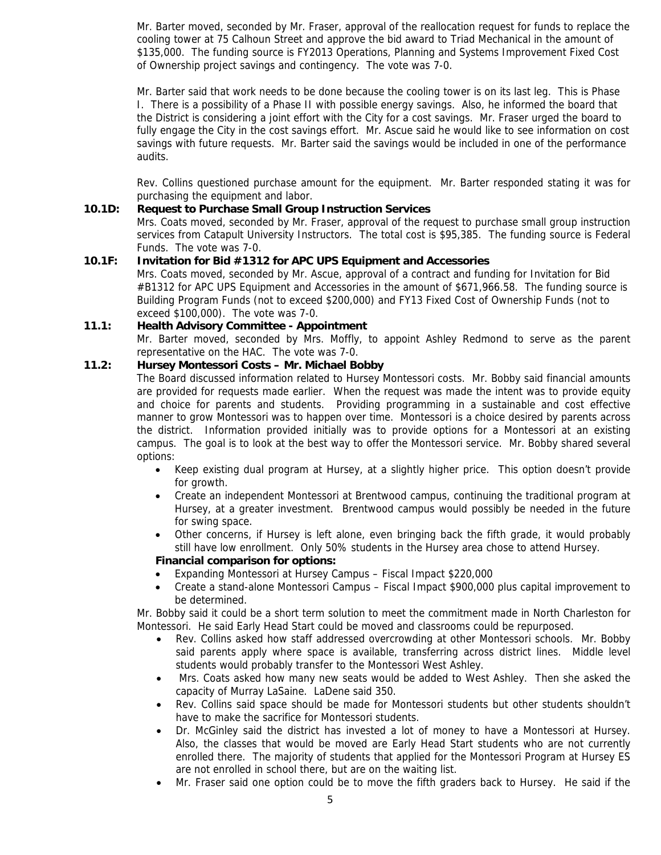Mr. Barter moved, seconded by Mr. Fraser, approval of the reallocation request for funds to replace the cooling tower at 75 Calhoun Street and approve the bid award to Triad Mechanical in the amount of \$135,000. The funding source is FY2013 Operations, Planning and Systems Improvement Fixed Cost of Ownership project savings and contingency. The vote was 7-0.

Mr. Barter said that work needs to be done because the cooling tower is on its last leg. This is Phase I. There is a possibility of a Phase II with possible energy savings. Also, he informed the board that the District is considering a joint effort with the City for a cost savings. Mr. Fraser urged the board to fully engage the City in the cost savings effort. Mr. Ascue said he would like to see information on cost savings with future requests. Mr. Barter said the savings would be included in one of the performance audits.

Rev. Collins questioned purchase amount for the equipment. Mr. Barter responded stating it was for purchasing the equipment and labor.

#### **10.1D: Request to Purchase Small Group Instruction Services**

Mrs. Coats moved, seconded by Mr. Fraser, approval of the request to purchase small group instruction services from Catapult University Instructors. The total cost is \$95,385. The funding source is Federal Funds. The vote was 7-0.

#### **10.1F: Invitation for Bid #1312 for APC UPS Equipment and Accessories**

Mrs. Coats moved, seconded by Mr. Ascue, approval of a contract and funding for Invitation for Bid #B1312 for APC UPS Equipment and Accessories in the amount of \$671,966.58. The funding source is Building Program Funds (not to exceed \$200,000) and FY13 Fixed Cost of Ownership Funds (not to exceed \$100,000). The vote was 7-0.

#### **11.1: Health Advisory Committee - Appointment**

Mr. Barter moved, seconded by Mrs. Moffly, to appoint Ashley Redmond to serve as the parent representative on the HAC. The vote was 7-0.

#### **11.2: Hursey Montessori Costs – Mr. Michael Bobby**

The Board discussed information related to Hursey Montessori costs. Mr. Bobby said financial amounts are provided for requests made earlier. When the request was made the intent was to provide equity and choice for parents and students. Providing programming in a sustainable and cost effective manner to grow Montessori was to happen over time. Montessori is a choice desired by parents across the district. Information provided initially was to provide options for a Montessori at an existing campus. The goal is to look at the best way to offer the Montessori service. Mr. Bobby shared several options:

- Keep existing dual program at Hursey, at a slightly higher price. This option doesn't provide for growth.
- Create an independent Montessori at Brentwood campus, continuing the traditional program at Hursey, at a greater investment. Brentwood campus would possibly be needed in the future for swing space.
- Other concerns, if Hursey is left alone, even bringing back the fifth grade, it would probably still have low enrollment. Only 50% students in the Hursey area chose to attend Hursey.

#### **Financial comparison for options:**

- Expanding Montessori at Hursey Campus Fiscal Impact \$220,000
- Create a stand-alone Montessori Campus Fiscal Impact \$900,000 plus capital improvement to be determined.

Mr. Bobby said it could be a short term solution to meet the commitment made in North Charleston for Montessori. He said Early Head Start could be moved and classrooms could be repurposed.

- Rev. Collins asked how staff addressed overcrowding at other Montessori schools. Mr. Bobby said parents apply where space is available, transferring across district lines. Middle level students would probably transfer to the Montessori West Ashley.
- Mrs. Coats asked how many new seats would be added to West Ashley. Then she asked the capacity of Murray LaSaine. LaDene said 350.
- Rev. Collins said space should be made for Montessori students but other students shouldn't have to make the sacrifice for Montessori students.
- Dr. McGinley said the district has invested a lot of money to have a Montessori at Hursey. Also, the classes that would be moved are Early Head Start students who are not currently enrolled there. The majority of students that applied for the Montessori Program at Hursey ES are not enrolled in school there, but are on the waiting list.
- Mr. Fraser said one option could be to move the fifth graders back to Hursey. He said if the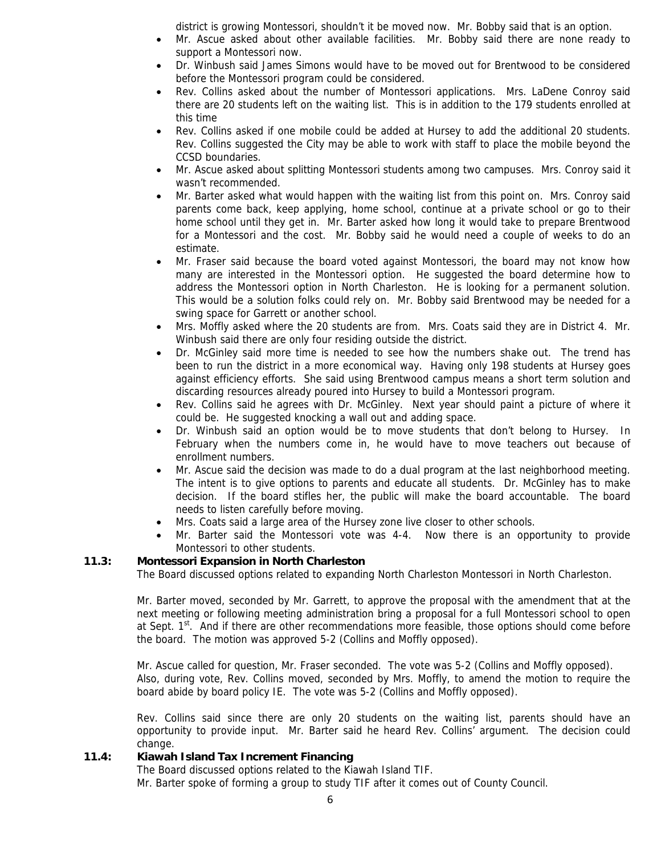district is growing Montessori, shouldn't it be moved now. Mr. Bobby said that is an option.

- Mr. Ascue asked about other available facilities. Mr. Bobby said there are none ready to support a Montessori now.
- Dr. Winbush said James Simons would have to be moved out for Brentwood to be considered before the Montessori program could be considered.
- Rev. Collins asked about the number of Montessori applications. Mrs. LaDene Conroy said there are 20 students left on the waiting list. This is in addition to the 179 students enrolled at this time
- Rev. Collins asked if one mobile could be added at Hursey to add the additional 20 students. Rev. Collins suggested the City may be able to work with staff to place the mobile beyond the CCSD boundaries.
- Mr. Ascue asked about splitting Montessori students among two campuses. Mrs. Conroy said it wasn't recommended.
- Mr. Barter asked what would happen with the waiting list from this point on. Mrs. Conroy said parents come back, keep applying, home school, continue at a private school or go to their home school until they get in. Mr. Barter asked how long it would take to prepare Brentwood for a Montessori and the cost. Mr. Bobby said he would need a couple of weeks to do an estimate.
- Mr. Fraser said because the board voted against Montessori, the board may not know how many are interested in the Montessori option. He suggested the board determine how to address the Montessori option in North Charleston. He is looking for a permanent solution. This would be a solution folks could rely on. Mr. Bobby said Brentwood may be needed for a swing space for Garrett or another school.
- Mrs. Moffly asked where the 20 students are from. Mrs. Coats said they are in District 4. Mr. Winbush said there are only four residing outside the district.
- Dr. McGinley said more time is needed to see how the numbers shake out. The trend has been to run the district in a more economical way. Having only 198 students at Hursey goes against efficiency efforts. She said using Brentwood campus means a short term solution and discarding resources already poured into Hursey to build a Montessori program.
- Rev. Collins said he agrees with Dr. McGinley. Next year should paint a picture of where it could be. He suggested knocking a wall out and adding space.
- Dr. Winbush said an option would be to move students that don't belong to Hursey. In February when the numbers come in, he would have to move teachers out because of enrollment numbers.
- Mr. Ascue said the decision was made to do a dual program at the last neighborhood meeting. The intent is to give options to parents and educate all students. Dr. McGinley has to make decision. If the board stifles her, the public will make the board accountable. The board needs to listen carefully before moving.
- Mrs. Coats said a large area of the Hursey zone live closer to other schools.
- Mr. Barter said the Montessori vote was 4-4. Now there is an opportunity to provide Montessori to other students.

### **11.3: Montessori Expansion in North Charleston**

The Board discussed options related to expanding North Charleston Montessori in North Charleston.

Mr. Barter moved, seconded by Mr. Garrett, to approve the proposal with the amendment that at the next meeting or following meeting administration bring a proposal for a full Montessori school to open at Sept. 1<sup>st</sup>. And if there are other recommendations more feasible, those options should come before the board. The motion was approved 5-2 (Collins and Moffly opposed).

Mr. Ascue called for question, Mr. Fraser seconded. The vote was 5-2 (Collins and Moffly opposed). Also, during vote, Rev. Collins moved, seconded by Mrs. Moffly, to amend the motion to require the board abide by board policy IE. The vote was 5-2 (Collins and Moffly opposed).

Rev. Collins said since there are only 20 students on the waiting list, parents should have an opportunity to provide input. Mr. Barter said he heard Rev. Collins' argument. The decision could change.

### **11.4: Kiawah Island Tax Increment Financing**

The Board discussed options related to the Kiawah Island TIF.

Mr. Barter spoke of forming a group to study TIF after it comes out of County Council.